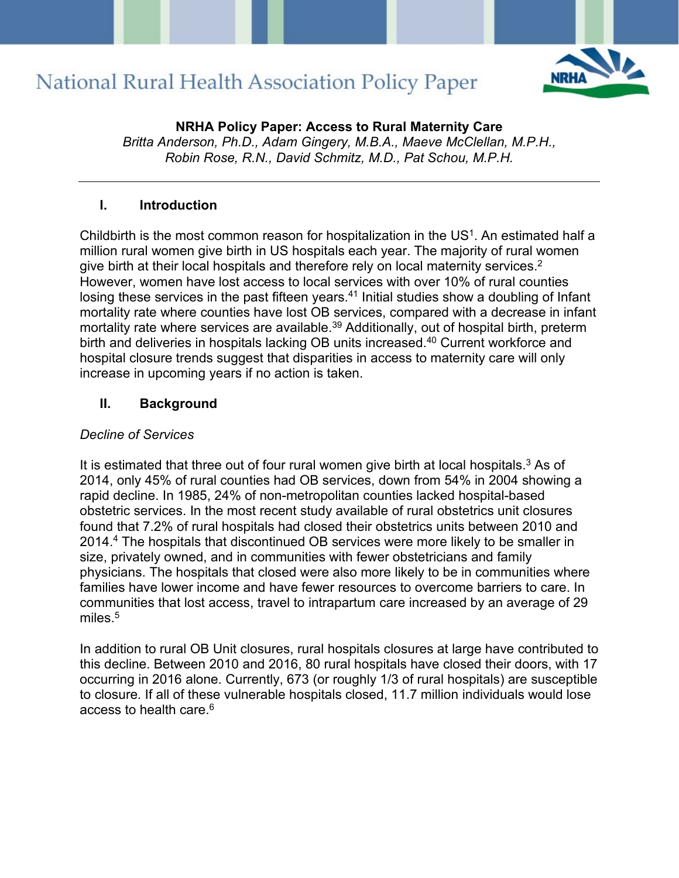

**NRHA Policy Paper: Access to Rural Maternity Care**  *Britta Anderson, Ph.D., Adam Gingery, M.B.A., Maeve McClellan, M.P.H., Robin Rose, R.N., David Schmitz, M.D., Pat Schou, M.P.H.* 

### **I. Introduction**

Childbirth is the most common reason for hospitalization in the US1. An estimated half a million rural women give birth in US hospitals each year. The majority of rural women give birth at their local hospitals and therefore rely on local maternity services.<sup>2</sup> However, women have lost access to local services with over 10% of rural counties losing these services in the past fifteen years.<sup>41</sup> Initial studies show a doubling of Infant mortality rate where counties have lost OB services, compared with a decrease in infant mortality rate where services are available. <sup>39</sup> Additionally, out of hospital birth, preterm birth and deliveries in hospitals lacking OB units increased. <sup>40</sup> Current workforce and hospital closure trends suggest that disparities in access to maternity care will only increase in upcoming years if no action is taken.

### **II. Background**

### *Decline of Services*

It is estimated that three out of four rural women give birth at local hospitals.<sup>3</sup> As of 2014, only 45% of rural counties had OB services, down from 54% in 2004 showing a rapid decline. In 1985, 24% of non-metropolitan counties lacked hospital-based obstetric services. In the most recent study available of rural obstetrics unit closures found that 7.2% of rural hospitals had closed their obstetrics units between 2010 and 2014. <sup>4</sup> The hospitals that discontinued OB services were more likely to be smaller in size, privately owned, and in communities with fewer obstetricians and family physicians. The hospitals that closed were also more likely to be in communities where families have lower income and have fewer resources to overcome barriers to care. In communities that lost access, travel to intrapartum care increased by an average of 29 miles. 5

In addition to rural OB Unit closures, rural hospitals closures at large have contributed to this decline. Between 2010 and 2016, 80 rural hospitals have closed their doors, with 17 occurring in 2016 alone. Currently, 673 (or roughly 1/3 of rural hospitals) are susceptible to closure. If all of these vulnerable hospitals closed, 11.7 million individuals would lose access to health care. $^6$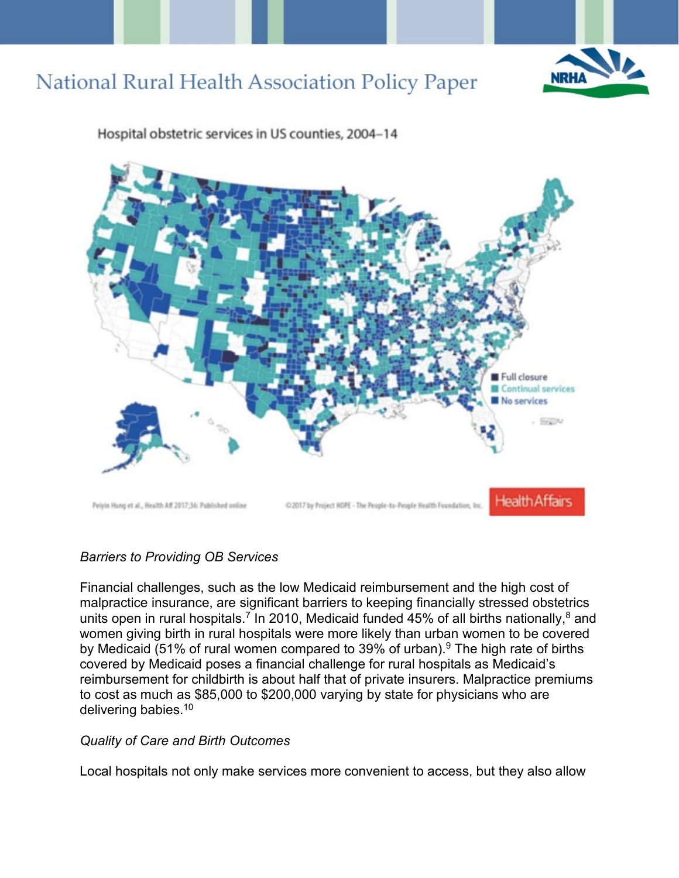



Hospital obstetric services in US counties, 2004-14

### *Barriers to Providing OB Services*

Financial challenges, such as the low Medicaid reimbursement and the high cost of malpractice insurance, are significant barriers to keeping financially stressed obstetrics units open in rural hospitals.<sup>7</sup> In 2010, Medicaid funded 45% of all births nationally,<sup>8</sup> and women giving birth in rural hospitals were more likely than urban women to be covered by Medicaid (51% of rural women compared to 39% of urban). <sup>9</sup> The high rate of births covered by Medicaid poses a financial challenge for rural hospitals as Medicaid's reimbursement for childbirth is about half that of private insurers. Malpractice premiums to cost as much as \$85,000 to \$200,000 varying by state for physicians who are delivering babies. 10

### *Quality of Care and Birth Outcomes*

Local hospitals not only make services more convenient to access, but they also allow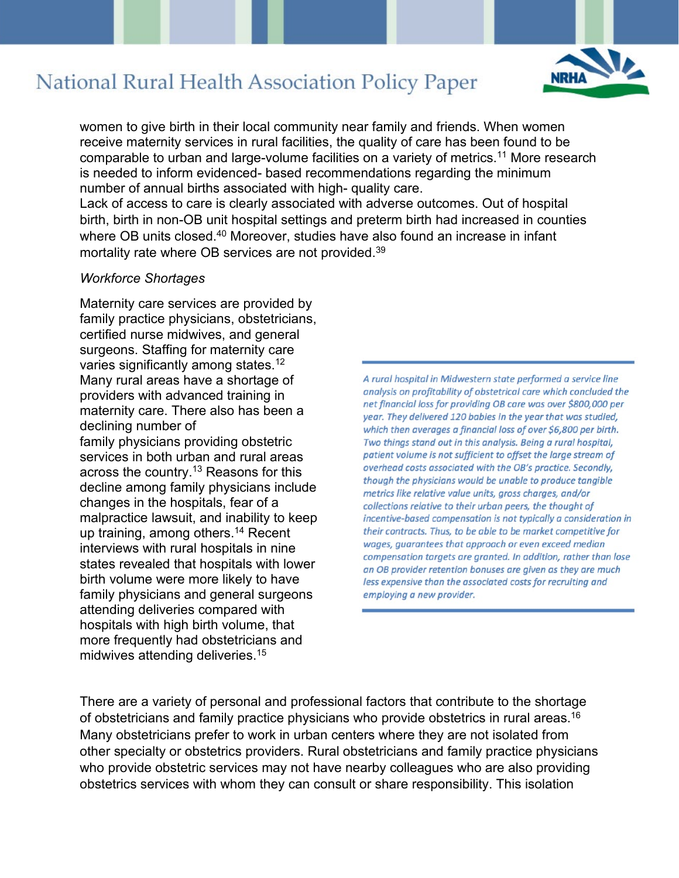

women to give birth in their local community near family and friends. When women receive maternity services in rural facilities, the quality of care has been found to be comparable to urban and large-volume facilities on a variety of metrics. <sup>11</sup> More research is needed to inform evidenced- based recommendations regarding the minimum number of annual births associated with high- quality care.

Lack of access to care is clearly associated with adverse outcomes. Out of hospital birth, birth in non-OB unit hospital settings and preterm birth had increased in counties where OB units closed.<sup>40</sup> Moreover, studies have also found an increase in infant mortality rate where OB services are not provided. 39

#### *Workforce Shortages*

Maternity care services are provided by family practice physicians, obstetricians, certified nurse midwives, and general surgeons. Staffing for maternity care varies significantly among states. 12 Many rural areas have a shortage of providers with advanced training in maternity care. There also has been a declining number of family physicians providing obstetric services in both urban and rural areas across the country. <sup>13</sup> Reasons for this decline among family physicians include changes in the hospitals, fear of a malpractice lawsuit, and inability to keep up training, among others. <sup>14</sup> Recent interviews with rural hospitals in nine states revealed that hospitals with lower birth volume were more likely to have family physicians and general surgeons attending deliveries compared with hospitals with high birth volume, that more frequently had obstetricians and midwives attending deliveries. 15

A rural hospital in Midwestern state performed a service line analysis on profitability of obstetrical care which concluded the net financial loss for providing OB care was over \$800,000 per year. They delivered 120 babies in the year that was studied, which then averages a financial loss of over \$6,800 per birth. Two things stand out in this analysis. Being a rural hospital, patient volume is not sufficient to offset the large stream of overhead costs associated with the OB's practice. Secondly, though the physicians would be unable to produce tangible metrics like relative value units, gross charges, and/or collections relative to their urban peers, the thought of incentive-based compensation is not typically a consideration in their contracts. Thus, to be able to be market competitive for wages, guarantees that approach or even exceed median compensation targets are granted. In addition, rather than lose an OB provider retention bonuses are given as they are much less expensive than the associated costs for recruiting and employing a new provider.

There are a variety of personal and professional factors that contribute to the shortage of obstetricians and family practice physicians who provide obstetrics in rural areas. 16 Many obstetricians prefer to work in urban centers where they are not isolated from other specialty or obstetrics providers. Rural obstetricians and family practice physicians who provide obstetric services may not have nearby colleagues who are also providing obstetrics services with whom they can consult or share responsibility. This isolation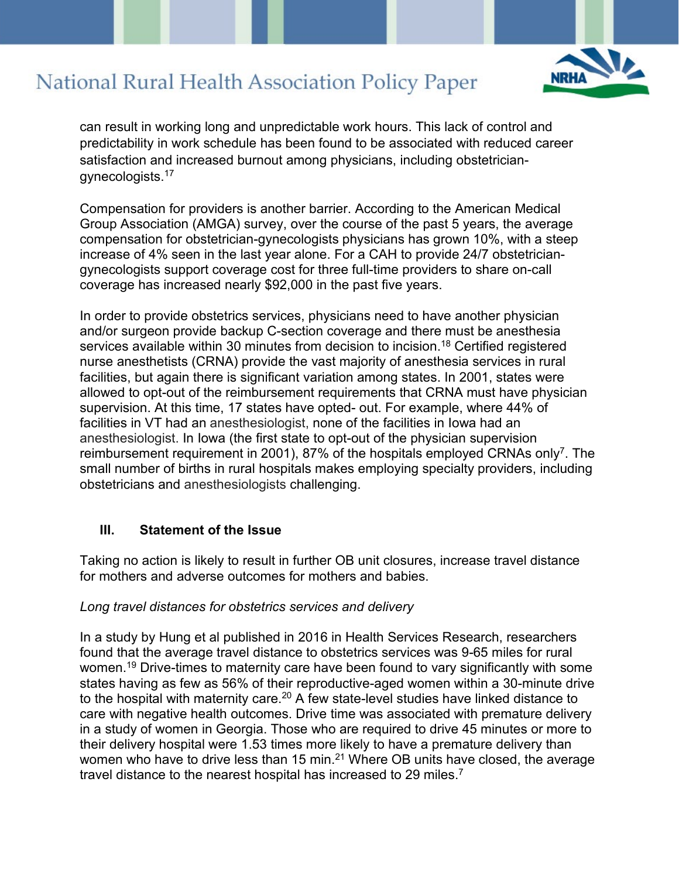can result in working long and unpredictable work hours. This lack of control and predictability in work schedule has been found to be associated with reduced career satisfaction and increased burnout among physicians, including obstetriciangynecologists. 17

Compensation for providers is another barrier. According to the American Medical Group Association (AMGA) survey, over the course of the past 5 years, the average compensation for obstetrician-gynecologists physicians has grown 10%, with a steep increase of 4% seen in the last year alone. For a CAH to provide 24/7 obstetriciangynecologists support coverage cost for three full-time providers to share on-call coverage has increased nearly \$92,000 in the past five years.

In order to provide obstetrics services, physicians need to have another physician and/or surgeon provide backup C-section coverage and there must be anesthesia services available within 30 minutes from decision to incision. <sup>18</sup> Certified registered nurse anesthetists (CRNA) provide the vast majority of anesthesia services in rural facilities, but again there is significant variation among states. In 2001, states were allowed to opt-out of the reimbursement requirements that CRNA must have physician supervision. At this time, 17 states have opted- out. For example, where 44% of facilities in VT had an anesthesiologist, none of the facilities in Iowa had an anesthesiologist. In Iowa (the first state to opt-out of the physician supervision reimbursement requirement in 2001), 87% of the hospitals employed CRNAs only<sup>7</sup>. The small number of births in rural hospitals makes employing specialty providers, including obstetricians and anesthesiologists challenging.

### **III. Statement of the Issue**

Taking no action is likely to result in further OB unit closures, increase travel distance for mothers and adverse outcomes for mothers and babies.

#### *Long travel distances for obstetrics services and delivery*

In a study by Hung et al published in 2016 in Health Services Research, researchers found that the average travel distance to obstetrics services was 9-65 miles for rural women.<sup>19</sup> Drive-times to maternity care have been found to vary significantly with some states having as few as 56% of their reproductive-aged women within a 30-minute drive to the hospital with maternity care.<sup>20</sup> A few state-level studies have linked distance to care with negative health outcomes. Drive time was associated with premature delivery in a study of women in Georgia. Those who are required to drive 45 minutes or more to their delivery hospital were 1.53 times more likely to have a premature delivery than women who have to drive less than 15 min.<sup>21</sup> Where OB units have closed, the average travel distance to the nearest hospital has increased to 29 miles. 7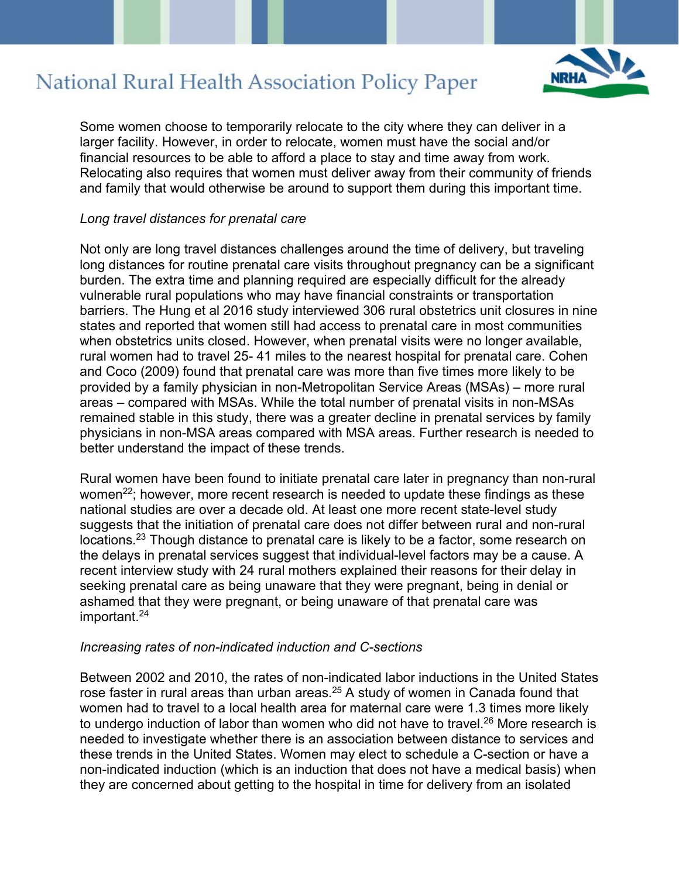

Some women choose to temporarily relocate to the city where they can deliver in a larger facility. However, in order to relocate, women must have the social and/or financial resources to be able to afford a place to stay and time away from work. Relocating also requires that women must deliver away from their community of friends and family that would otherwise be around to support them during this important time.

#### *Long travel distances for prenatal care*

Not only are long travel distances challenges around the time of delivery, but traveling long distances for routine prenatal care visits throughout pregnancy can be a significant burden. The extra time and planning required are especially difficult for the already vulnerable rural populations who may have financial constraints or transportation barriers. The Hung et al 2016 study interviewed 306 rural obstetrics unit closures in nine states and reported that women still had access to prenatal care in most communities when obstetrics units closed. However, when prenatal visits were no longer available, rural women had to travel 25- 41 miles to the nearest hospital for prenatal care. Cohen and Coco (2009) found that prenatal care was more than five times more likely to be provided by a family physician in non-Metropolitan Service Areas (MSAs) – more rural areas – compared with MSAs. While the total number of prenatal visits in non-MSAs remained stable in this study, there was a greater decline in prenatal services by family physicians in non-MSA areas compared with MSA areas. Further research is needed to better understand the impact of these trends.

Rural women have been found to initiate prenatal care later in pregnancy than non-rural women<sup>22</sup>; however, more recent research is needed to update these findings as these national studies are over a decade old. At least one more recent state-level study suggests that the initiation of prenatal care does not differ between rural and non-rural locations.<sup>23</sup> Though distance to prenatal care is likely to be a factor, some research on the delays in prenatal services suggest that individual-level factors may be a cause. A recent interview study with 24 rural mothers explained their reasons for their delay in seeking prenatal care as being unaware that they were pregnant, being in denial or ashamed that they were pregnant, or being unaware of that prenatal care was important. 24

#### *Increasing rates of non-indicated induction and C-sections*

Between 2002 and 2010, the rates of non-indicated labor inductions in the United States rose faster in rural areas than urban areas.<sup>25</sup> A study of women in Canada found that women had to travel to a local health area for maternal care were 1.3 times more likely to undergo induction of labor than women who did not have to travel.<sup>26</sup> More research is needed to investigate whether there is an association between distance to services and these trends in the United States. Women may elect to schedule a C-section or have a non-indicated induction (which is an induction that does not have a medical basis) when they are concerned about getting to the hospital in time for delivery from an isolated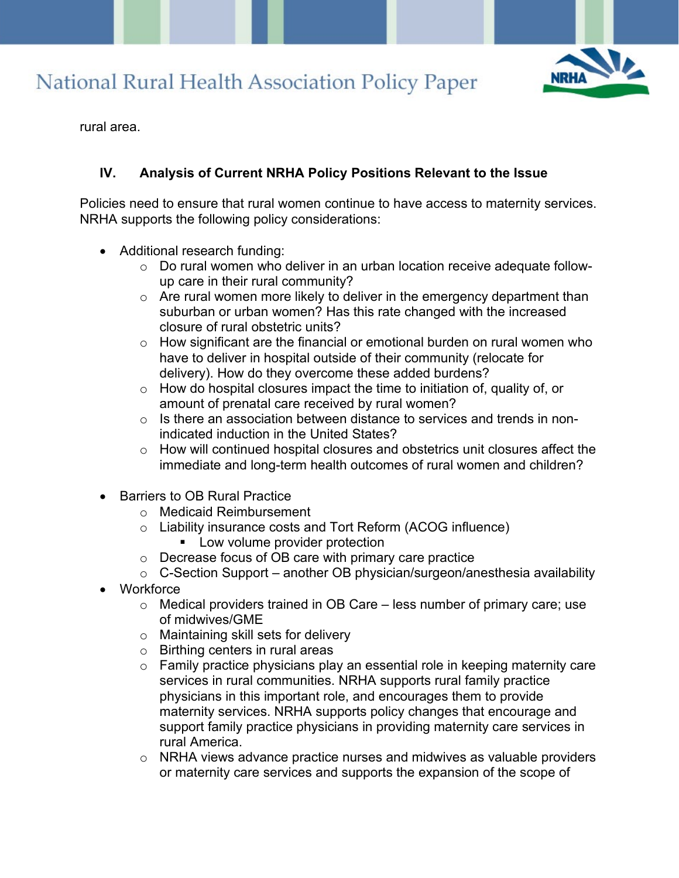

rural area.

### **IV. Analysis of Current NRHA Policy Positions Relevant to the Issue**

Policies need to ensure that rural women continue to have access to maternity services. NRHA supports the following policy considerations:

- Additional research funding:
	- o Do rural women who deliver in an urban location receive adequate followup care in their rural community?
	- $\circ$  Are rural women more likely to deliver in the emergency department than suburban or urban women? Has this rate changed with the increased closure of rural obstetric units?
	- $\circ$  How significant are the financial or emotional burden on rural women who have to deliver in hospital outside of their community (relocate for delivery). How do they overcome these added burdens?
	- $\circ$  How do hospital closures impact the time to initiation of, quality of, or amount of prenatal care received by rural women?
	- o Is there an association between distance to services and trends in nonindicated induction in the United States?
	- $\circ$  How will continued hospital closures and obstetrics unit closures affect the immediate and long-term health outcomes of rural women and children?
- Barriers to OB Rural Practice
	- o Medicaid Reimbursement
	- o Liability insurance costs and Tort Reform (ACOG influence)
		- **Low volume provider protection**
	- o Decrease focus of OB care with primary care practice
	- $\circ$  C-Section Support another OB physician/surgeon/anesthesia availability
- Workforce
	- $\circ$  Medical providers trained in OB Care less number of primary care; use of midwives/GME
	- o Maintaining skill sets for delivery
	- o Birthing centers in rural areas
	- o Family practice physicians play an essential role in keeping maternity care services in rural communities. NRHA supports rural family practice physicians in this important role, and encourages them to provide maternity services. NRHA supports policy changes that encourage and support family practice physicians in providing maternity care services in rural America.
	- o NRHA views advance practice nurses and midwives as valuable providers or maternity care services and supports the expansion of the scope of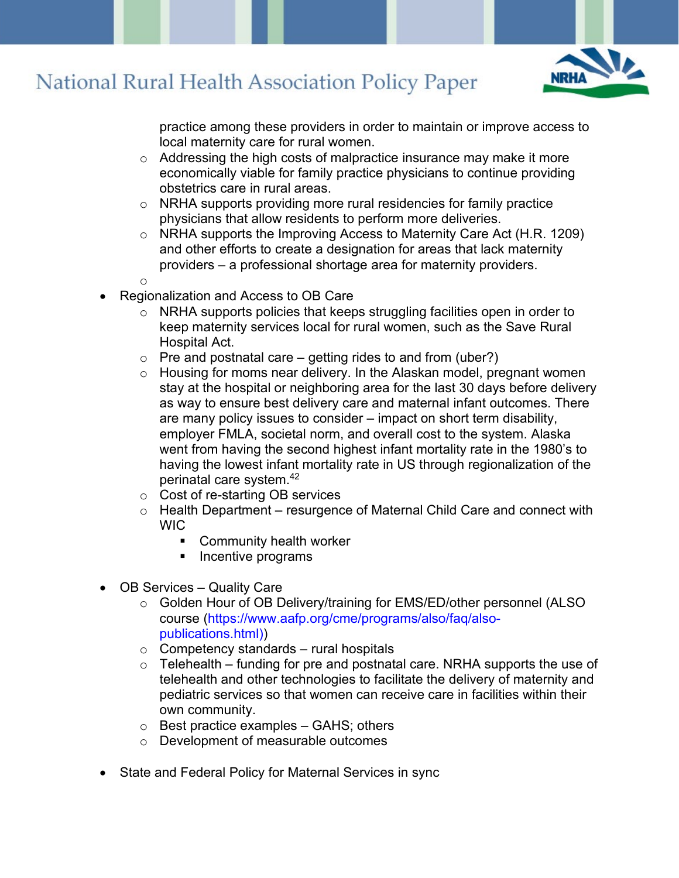

practice among these providers in order to maintain or improve access to local maternity care for rural women.

- o Addressing the high costs of malpractice insurance may make it more economically viable for family practice physicians to continue providing obstetrics care in rural areas.
- o NRHA supports providing more rural residencies for family practice physicians that allow residents to perform more deliveries.
- o NRHA supports the Improving Access to Maternity Care Act (H.R. 1209) and other efforts to create a designation for areas that lack maternity providers – a professional shortage area for maternity providers.
- o
- Regionalization and Access to OB Care
	- o NRHA supports policies that keeps struggling facilities open in order to keep maternity services local for rural women, such as the Save Rural Hospital Act.
	- $\circ$  Pre and postnatal care getting rides to and from (uber?)
	- o Housing for moms near delivery. In the Alaskan model, pregnant women stay at the hospital or neighboring area for the last 30 days before delivery as way to ensure best delivery care and maternal infant outcomes. There are many policy issues to consider – impact on short term disability, employer FMLA, societal norm, and overall cost to the system. Alaska went from having the second highest infant mortality rate in the 1980's to having the lowest infant mortality rate in US through regionalization of the perinatal care system.42
	- o Cost of re-starting OB services
	- $\circ$  Health Department resurgence of Maternal Child Care and connect with WIC
		- Community health worker
		- **Incentive programs**
- OB Services Quality Care
	- o Golden Hour of OB Delivery/training for EMS/ED/other personnel (ALSO course (https://www.aafp.org/cme/programs/also/faq/alsopublications.html))
	- $\circ$  Competency standards rural hospitals
	- $\circ$  Telehealth funding for pre and postnatal care. NRHA supports the use of telehealth and other technologies to facilitate the delivery of maternity and pediatric services so that women can receive care in facilities within their own community.
	- $\circ$  Best practice examples GAHS; others
	- o Development of measurable outcomes
- State and Federal Policy for Maternal Services in sync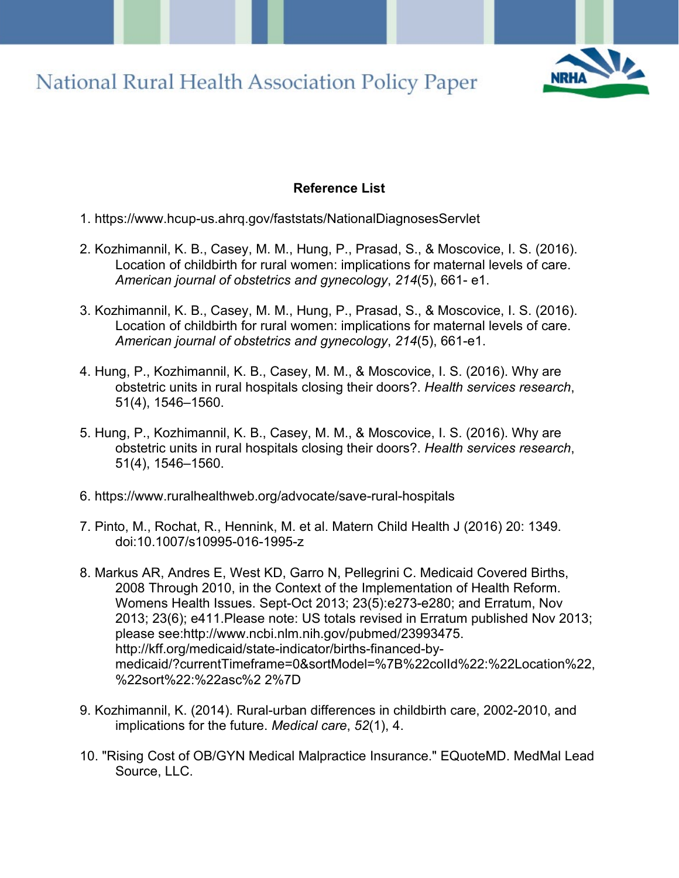

### **Reference List**

- 1. https://www.hcup-us.ahrq.gov/faststats/NationalDiagnosesServlet
- 2. Kozhimannil, K. B., Casey, M. M., Hung, P., Prasad, S., & Moscovice, I. S. (2016). Location of childbirth for rural women: implications for maternal levels of care. *American journal of obstetrics and gynecology*, *214*(5), 661- e1.
- 3. Kozhimannil, K. B., Casey, M. M., Hung, P., Prasad, S., & Moscovice, I. S. (2016). Location of childbirth for rural women: implications for maternal levels of care. *American journal of obstetrics and gynecology*, *214*(5), 661-e1.
- 4. Hung, P., Kozhimannil, K. B., Casey, M. M., & Moscovice, I. S. (2016). Why are obstetric units in rural hospitals closing their doors?. *Health services research*, 51(4), 1546–1560.
- 5. Hung, P., Kozhimannil, K. B., Casey, M. M., & Moscovice, I. S. (2016). Why are obstetric units in rural hospitals closing their doors?. *Health services research*, 51(4), 1546–1560.
- 6. https://www.ruralhealthweb.org/advocate/save-rural-hospitals
- 7. Pinto, M., Rochat, R., Hennink, M. et al. Matern Child Health J (2016) 20: 1349. doi:10.1007/s10995-016-1995-z
- 8. Markus AR, Andres E, West KD, Garro N, Pellegrini C. Medicaid Covered Births, 2008 Through 2010, in the Context of the Implementation of Health Reform. Womens Health Issues. Sept-Oct 2013; 23(5):e273-e280; and Erratum, Nov 2013; 23(6); e411.Please note: US totals revised in Erratum published Nov 2013; please see:http://www.ncbi.nlm.nih.gov/pubmed/23993475. http://kff.org/medicaid/state-indicator/births-financed-bymedicaid/?currentTimeframe=0&sortModel=%7B%22colId%22:%22Location%22, %22sort%22:%22asc%2 2%7D
- 9. Kozhimannil, K. (2014). Rural-urban differences in childbirth care, 2002-2010, and implications for the future. *Medical care*, *52*(1), 4.
- 10. "Rising Cost of OB/GYN Medical Malpractice Insurance." EQuoteMD. MedMal Lead Source, LLC.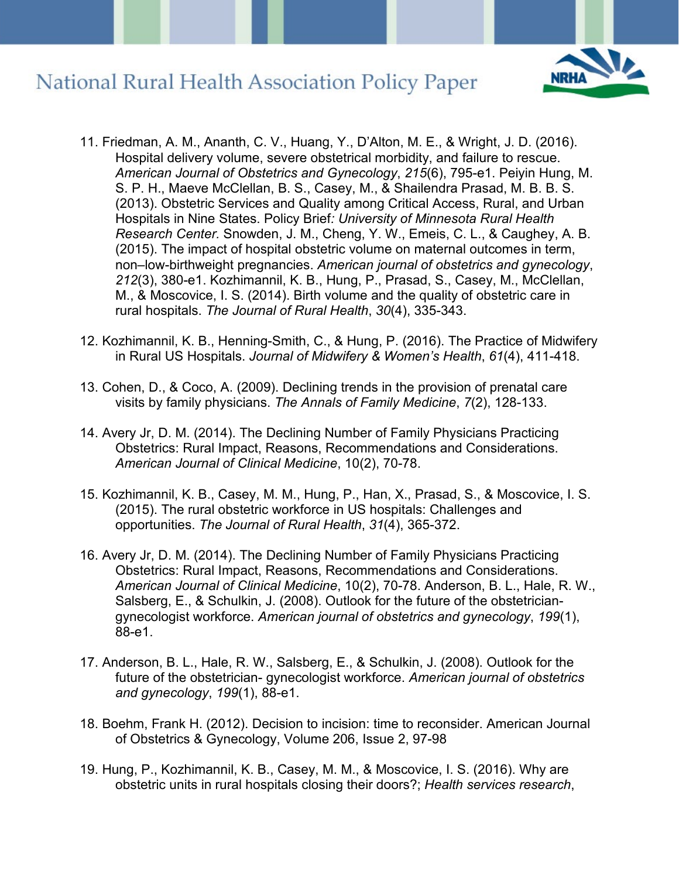

- 11. Friedman, A. M., Ananth, C. V., Huang, Y., D'Alton, M. E., & Wright, J. D. (2016). Hospital delivery volume, severe obstetrical morbidity, and failure to rescue. *American Journal of Obstetrics and Gynecology*, *215*(6), 795-e1. Peiyin Hung, M. S. P. H., Maeve McClellan, B. S., Casey, M., & Shailendra Prasad, M. B. B. S. (2013). Obstetric Services and Quality among Critical Access, Rural, and Urban Hospitals in Nine States. Policy Brief*: University of Minnesota Rural Health Research Center.* Snowden, J. M., Cheng, Y. W., Emeis, C. L., & Caughey, A. B. (2015). The impact of hospital obstetric volume on maternal outcomes in term, non–low-birthweight pregnancies. *American journal of obstetrics and gynecology*, *212*(3), 380-e1. Kozhimannil, K. B., Hung, P., Prasad, S., Casey, M., McClellan, M., & Moscovice, I. S. (2014). Birth volume and the quality of obstetric care in rural hospitals. *The Journal of Rural Health*, *30*(4), 335-343.
- 12. Kozhimannil, K. B., Henning-Smith, C., & Hung, P. (2016). The Practice of Midwifery in Rural US Hospitals. *Journal of Midwifery & Women's Health*, *61*(4), 411-418.
- 13. Cohen, D., & Coco, A. (2009). Declining trends in the provision of prenatal care visits by family physicians. *The Annals of Family Medicine*, *7*(2), 128-133.
- 14. Avery Jr, D. M. (2014). The Declining Number of Family Physicians Practicing Obstetrics: Rural Impact, Reasons, Recommendations and Considerations. *American Journal of Clinical Medicine*, 10(2), 70-78.
- 15. Kozhimannil, K. B., Casey, M. M., Hung, P., Han, X., Prasad, S., & Moscovice, I. S. (2015). The rural obstetric workforce in US hospitals: Challenges and opportunities. *The Journal of Rural Health*, *31*(4), 365-372.
- 16. Avery Jr, D. M. (2014). The Declining Number of Family Physicians Practicing Obstetrics: Rural Impact, Reasons, Recommendations and Considerations. *American Journal of Clinical Medicine*, 10(2), 70-78. Anderson, B. L., Hale, R. W., Salsberg, E., & Schulkin, J. (2008). Outlook for the future of the obstetriciangynecologist workforce. *American journal of obstetrics and gynecology*, *199*(1), 88-e1.
- 17. Anderson, B. L., Hale, R. W., Salsberg, E., & Schulkin, J. (2008). Outlook for the future of the obstetrician- gynecologist workforce. *American journal of obstetrics and gynecology*, *199*(1), 88-e1.
- 18. Boehm, Frank H. (2012). Decision to incision: time to reconsider. American Journal of Obstetrics & Gynecology, Volume 206, Issue 2, 97-98
- 19. Hung, P., Kozhimannil, K. B., Casey, M. M., & Moscovice, I. S. (2016). Why are obstetric units in rural hospitals closing their doors?; *Health services research*,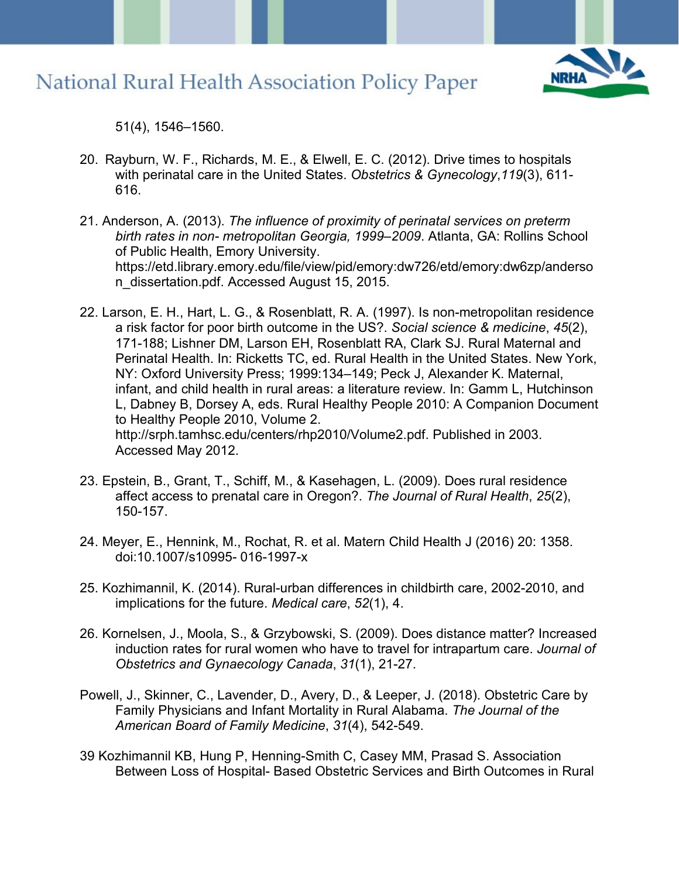

51(4), 1546–1560.

- 20. Rayburn, W. F., Richards, M. E., & Elwell, E. C. (2012). Drive times to hospitals with perinatal care in the United States. *Obstetrics & Gynecology*,*119*(3), 611- 616.
- 21. Anderson, A. (2013). *The influence of proximity of perinatal services on preterm birth rates in non- metropolitan Georgia, 1999–2009*. Atlanta, GA: Rollins School of Public Health, Emory University. https://etd.library.emory.edu/file/view/pid/emory:dw726/etd/emory:dw6zp/anderso n\_dissertation.pdf. Accessed August 15, 2015.
- 22. Larson, E. H., Hart, L. G., & Rosenblatt, R. A. (1997). Is non-metropolitan residence a risk factor for poor birth outcome in the US?. *Social science & medicine*, *45*(2), 171-188; Lishner DM, Larson EH, Rosenblatt RA, Clark SJ. Rural Maternal and Perinatal Health. In: Ricketts TC, ed. Rural Health in the United States. New York, NY: Oxford University Press; 1999:134–149; Peck J, Alexander K. Maternal, infant, and child health in rural areas: a literature review. In: Gamm L, Hutchinson L, Dabney B, Dorsey A, eds. Rural Healthy People 2010: A Companion Document to Healthy People 2010, Volume 2. http://srph.tamhsc.edu/centers/rhp2010/Volume2.pdf. Published in 2003. Accessed May 2012.
- 23. Epstein, B., Grant, T., Schiff, M., & Kasehagen, L. (2009). Does rural residence affect access to prenatal care in Oregon?. *The Journal of Rural Health*, *25*(2), 150-157.
- 24. Meyer, E., Hennink, M., Rochat, R. et al. Matern Child Health J (2016) 20: 1358. doi:10.1007/s10995- 016-1997-x
- 25. Kozhimannil, K. (2014). Rural-urban differences in childbirth care, 2002-2010, and implications for the future. *Medical care*, *52*(1), 4.
- 26. Kornelsen, J., Moola, S., & Grzybowski, S. (2009). Does distance matter? Increased induction rates for rural women who have to travel for intrapartum care. *Journal of Obstetrics and Gynaecology Canada*, *31*(1), 21-27.
- Powell, J., Skinner, C., Lavender, D., Avery, D., & Leeper, J. (2018). Obstetric Care by Family Physicians and Infant Mortality in Rural Alabama. *The Journal of the American Board of Family Medicine*, *31*(4), 542-549.
- 39 Kozhimannil KB, Hung P, Henning-Smith C, Casey MM, Prasad S. Association Between Loss of Hospital- Based Obstetric Services and Birth Outcomes in Rural